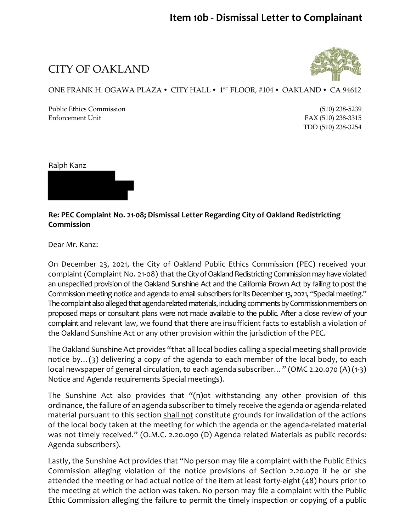### **Item 10b - Dismissal Letter to Complainant**

CITY OF OAKLAND



#### ONE FRANK H. OGAWA PLAZA • CITY HALL • 1ST FLOOR, #104 • OAKLAND • CA 94612

Public Ethics Commission (510) 238-5239 Enforcement Unit FAX (510) 238-3315

TDD (510) 238-3254

Ralph Kanz



#### **Re: PEC Complaint No. 21-08; Dismissal Letter Regarding City of Oakland Redistricting Commission**

Dear Mr. Kanz:

On December 23, 2021, the City of Oakland Public Ethics Commission (PEC) received your complaint (Complaint No. 21-08) that the City of Oakland Redistricting Commission may have violated an unspecified provision of the Oakland Sunshine Act and the California Brown Act by failing to post the Commission meeting notice and agenda to email subscribers for its December 13, 2021, "Special meeting." The complaint also alleged that agenda related materials, including comments by Commission members on proposed maps or consultant plans were not made available to the public. After a close review of your complaint and relevant law, we found that there are insufficient facts to establish a violation of the Oakland Sunshine Act or any other provision within the jurisdiction of the PEC.

The Oakland Sunshine Act provides "that all local bodies calling a special meeting shall provide notice by…(3) delivering a copy of the agenda to each member of the local body, to each local newspaper of general circulation, to each agenda subscriber…" (OMC 2.20.070 (A) (1-3) Notice and Agenda requirements Special meetings).

The Sunshine Act also provides that "(n)ot withstanding any other provision of this ordinance, the failure of an agenda subscriber to timely receive the agenda or agenda-related material pursuant to this section shall not constitute grounds for invalidation of the actions of the local body taken at the meeting for which the agenda or the agenda-related material was not timely received." (O.M.C. 2.20.090 (D) Agenda related Materials as public records: Agenda subscribers).

Lastly, the Sunshine Act provides that "No person may file a complaint with the Public Ethics Commission alleging violation of the notice provisions of Section 2.20.070 if he or she attended the meeting or had actual notice of the item at least forty-eight (48) hours prior to the meeting at which the action was taken. No person may file a complaint with the Public Ethic Commission alleging the failure to permit the timely inspection or copying of a public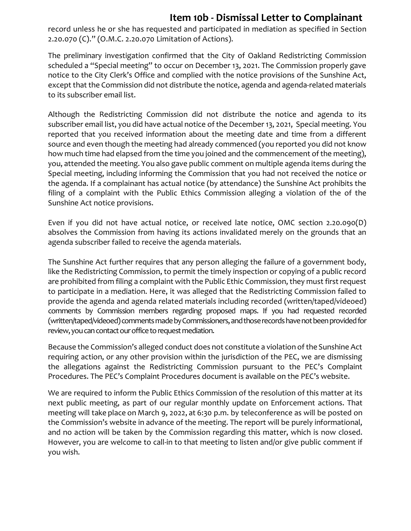## **Item 10b - Dismissal Letter to Complainant**

record unless he or she has requested and participated in mediation as specified in Section 2.20.070 (C)." (O.M.C. 2.20.070 Limitation of Actions).

The preliminary investigation confirmed that the City of Oakland Redistricting Commission scheduled a "Special meeting" to occur on December 13, 2021. The Commission properly gave notice to the City Clerk's Office and complied with the notice provisions of the Sunshine Act, except that the Commission did not distribute the notice, agenda and agenda-related materials to its subscriber email list.

Although the Redistricting Commission did not distribute the notice and agenda to its subscriber email list, you did have actual notice of the December 13, 2021, Special meeting. You reported that you received information about the meeting date and time from a different source and even though the meeting had already commenced (you reported you did not know how much time had elapsed from the time you joined and the commencement of the meeting), you, attended the meeting. You also gave public comment on multiple agenda items during the Special meeting, including informing the Commission that you had not received the notice or the agenda. If a complainant has actual notice (by attendance) the Sunshine Act prohibits the filing of a complaint with the Public Ethics Commission alleging a violation of the of the Sunshine Act notice provisions.

Even if you did not have actual notice, or received late notice, OMC section 2.20.090(D) absolves the Commission from having its actions invalidated merely on the grounds that an agenda subscriber failed to receive the agenda materials.

The Sunshine Act further requires that any person alleging the failure of a government body, like the Redistricting Commission, to permit the timely inspection or copying of a public record are prohibited from filing a complaint with the Public Ethic Commission, they must first request to participate in a mediation. Here, it was alleged that the Redistricting Commission failed to provide the agenda and agenda related materials including recorded (written/taped/videoed) comments by Commission members regarding proposed maps. If you had requested recorded (written/taped/videoed) comments made by Commissioners, and those records have not been provided for review, you can contact our office to request mediation.

Because the Commission's alleged conduct does not constitute a violation of the Sunshine Act requiring action, or any other provision within the jurisdiction of the PEC, we are dismissing the allegations against the Redistricting Commission pursuant to the PEC's Complaint Procedures. The PEC's Complaint Procedures document is available on the PEC's website.

We are required to inform the Public Ethics Commission of the resolution of this matter at its next public meeting, as part of our regular monthly update on Enforcement actions. That meeting will take place on March 9, 2022, at 6:30 p.m. by teleconference as will be posted on the Commission's website in advance of the meeting. The report will be purely informational, and no action will be taken by the Commission regarding this matter, which is now closed. However, you are welcome to call-in to that meeting to listen and/or give public comment if you wish.